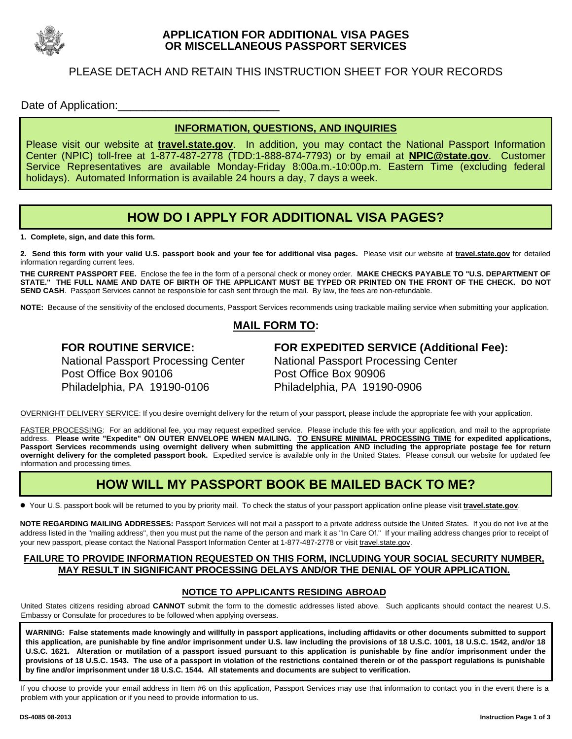

# **APPLICATION FOR ADDITIONAL VISA PAGES OR MISCELLANEOUS PASSPORT SERVICES**

# PLEASE DETACH AND RETAIN THIS INSTRUCTION SHEET FOR YOUR RECORDS

Date of Application:

# **INFORMATION, QUESTIONS, AND INQUIRIES**

Please visit our website at **travel.state.gov**. In addition, you may contact the National Passport Information Center (NPIC) toll-free at 1-877-487-2778 (TDD:1-888-874-7793) or by email at **NPIC@state.gov**. Customer Service Representatives are available Monday-Friday 8:00a.m.-10:00p.m. Eastern Time (excluding federal holidays). Automated Information is available 24 hours a day, 7 days a week.

# **HOW DO I APPLY FOR ADDITIONAL VISA PAGES?**

**1. Complete, sign, and date this form.**

**2. Send this form with your valid U.S. passport book and your fee for additional visa pages.** Please visit our website at **travel.state.gov** for detailed information regarding current fees.

**THE CURRENT PASSPORT FEE.** Enclose the fee in the form of a personal check or money order. **MAKE CHECKS PAYABLE TO "U.S. DEPARTMENT OF STATE." THE FULL NAME AND DATE OF BIRTH OF THE APPLICANT MUST BE TYPED OR PRINTED ON THE FRONT OF THE CHECK. DO NOT SEND CASH.** Passport Services cannot be responsible for cash sent through the mail. By law, the fees are non-refundable.

**NOTE:** Because of the sensitivity of the enclosed documents, Passport Services recommends using trackable mailing service when submitting your application.

# **MAIL FORM TO:**

# **FOR ROUTINE SERVICE:**

National Passport Processing Center Post Office Box 90106 Philadelphia, PA 19190-0106

**FOR EXPEDITED SERVICE (Additional Fee):** National Passport Processing Center Post Office Box 90906 Philadelphia, PA 19190-0906

OVERNIGHT DELIVERY SERVICE: If you desire overnight delivery for the return of your passport, please include the appropriate fee with your application.

FASTER PROCESSING: For an additional fee, you may request expedited service. Please include this fee with your application, and mail to the appropriate address. **Please write "Expedite" ON OUTER ENVELOPE WHEN MAILING. TO ENSURE MINIMAL PROCESSING TIME for expedited applications, Passport Services recommends using overnight delivery when submitting the application AND including the appropriate postage fee for return overnight delivery for the completed passport book.** Expedited service is available only in the United States. Please consult our website for updated fee information and processing times.

# **HOW WILL MY PASSPORT BOOK BE MAILED BACK TO ME?**

Your U.S. passport book will be returned to you by priority mail. To check the status of your passport application online please visit **travel.state.gov**.

**NOTE REGARDING MAILING ADDRESSES:** Passport Services will not mail a passport to a private address outside the United States. If you do not live at the address listed in the "mailing address", then you must put the name of the person and mark it as "In Care Of." If your mailing address changes prior to receipt of your new passport, please contact the National Passport Information Center at 1-877-487-2778 or visit travel.state.gov.

#### **FAILURE TO PROVIDE INFORMATION REQUESTED ON THIS FORM, INCLUDING YOUR SOCIAL SECURITY NUMBER, MAY RESULT IN SIGNIFICANT PROCESSING DELAYS AND/OR THE DENIAL OF YOUR APPLICATION.**

# **NOTICE TO APPLICANTS RESIDING ABROAD**

United States citizens residing abroad **CANNOT** submit the form to the domestic addresses listed above. Such applicants should contact the nearest U.S. Embassy or Consulate for procedures to be followed when applying overseas.

**WARNING: False statements made knowingly and willfully in passport applications, including affidavits or other documents submitted to support this application, are punishable by fine and/or imprisonment under U.S. law including the provisions of 18 U.S.C. 1001, 18 U.S.C. 1542, and/or 18 U.S.C. 1621. Alteration or mutilation of a passport issued pursuant to this application is punishable by fine and/or imprisonment under the provisions of 18 U.S.C. 1543. The use of a passport in violation of the restrictions contained therein or of the passport regulations is punishable by fine and/or imprisonment under 18 U.S.C. 1544. All statements and documents are subject to verification.**

If you choose to provide your email address in Item #6 on this application, Passport Services may use that information to contact you in the event there is a problem with your application or if you need to provide information to us.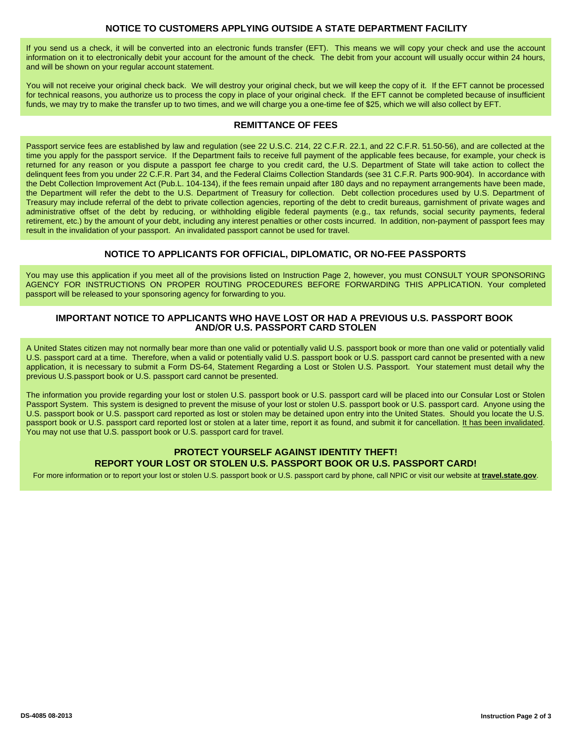### **NOTICE TO CUSTOMERS APPLYING OUTSIDE A STATE DEPARTMENT FACILITY**

If you send us a check, it will be converted into an electronic funds transfer (EFT). This means we will copy your check and use the account information on it to electronically debit your account for the amount of the check. The debit from your account will usually occur within 24 hours, and will be shown on your regular account statement.

You will not receive your original check back. We will destroy your original check, but we will keep the copy of it. If the EFT cannot be processed for technical reasons, you authorize us to process the copy in place of your original check. If the EFT cannot be completed because of insufficient funds, we may try to make the transfer up to two times, and we will charge you a one-time fee of \$25, which we will also collect by EFT.

### **REMITTANCE OF FEES**

Passport service fees are established by law and regulation (see 22 U.S.C. 214, 22 C.F.R. 22.1, and 22 C.F.R. 51.50-56), and are collected at the time you apply for the passport service. If the Department fails to receive full payment of the applicable fees because, for example, your check is returned for any reason or you dispute a passport fee charge to you credit card, the U.S. Department of State will take action to collect the delinquent fees from you under 22 C.F.R. Part 34, and the Federal Claims Collection Standards (see 31 C.F.R. Parts 900-904). In accordance with the Debt Collection Improvement Act (Pub.L. 104-134), if the fees remain unpaid after 180 days and no repayment arrangements have been made, the Department will refer the debt to the U.S. Department of Treasury for collection. Debt collection procedures used by U.S. Department of Treasury may include referral of the debt to private collection agencies, reporting of the debt to credit bureaus, garnishment of private wages and administrative offset of the debt by reducing, or withholding eligible federal payments (e.g., tax refunds, social security payments, federal retirement, etc.) by the amount of your debt, including any interest penalties or other costs incurred. In addition, non-payment of passport fees may result in the invalidation of your passport. An invalidated passport cannot be used for travel.

#### **NOTICE TO APPLICANTS FOR OFFICIAL, DIPLOMATIC, OR NO-FEE PASSPORTS**

You may use this application if you meet all of the provisions listed on Instruction Page 2, however, you must CONSULT YOUR SPONSORING AGENCY FOR INSTRUCTIONS ON PROPER ROUTING PROCEDURES BEFORE FORWARDING THIS APPLICATION. Your completed passport will be released to your sponsoring agency for forwarding to you.

#### **IMPORTANT NOTICE TO APPLICANTS WHO HAVE LOST OR HAD A PREVIOUS U.S. PASSPORT BOOK AND/OR U.S. PASSPORT CARD STOLEN**

A United States citizen may not normally bear more than one valid or potentially valid U.S. passport book or more than one valid or potentially valid U.S. passport card at a time. Therefore, when a valid or potentially valid U.S. passport book or U.S. passport card cannot be presented with a new application, it is necessary to submit a Form DS-64, Statement Regarding a Lost or Stolen U.S. Passport. Your statement must detail why the previous U.S.passport book or U.S. passport card cannot be presented.

The information you provide regarding your lost or stolen U.S. passport book or U.S. passport card will be placed into our Consular Lost or Stolen Passport System. This system is designed to prevent the misuse of your lost or stolen U.S. passport book or U.S. passport card. Anyone using the U.S. passport book or U.S. passport card reported as lost or stolen may be detained upon entry into the United States. Should you locate the U.S. passport book or U.S. passport card reported lost or stolen at a later time, report it as found, and submit it for cancellation. It has been invalidated. You may not use that U.S. passport book or U.S. passport card for travel.

### **PROTECT YOURSELF AGAINST IDENTITY THEFT! REPORT YOUR LOST OR STOLEN U.S. PASSPORT BOOK OR U.S. PASSPORT CARD!**

For more information or to report your lost or stolen U.S. passport book or U.S. passport card by phone, call NPIC or visit our website at **travel.state.gov**.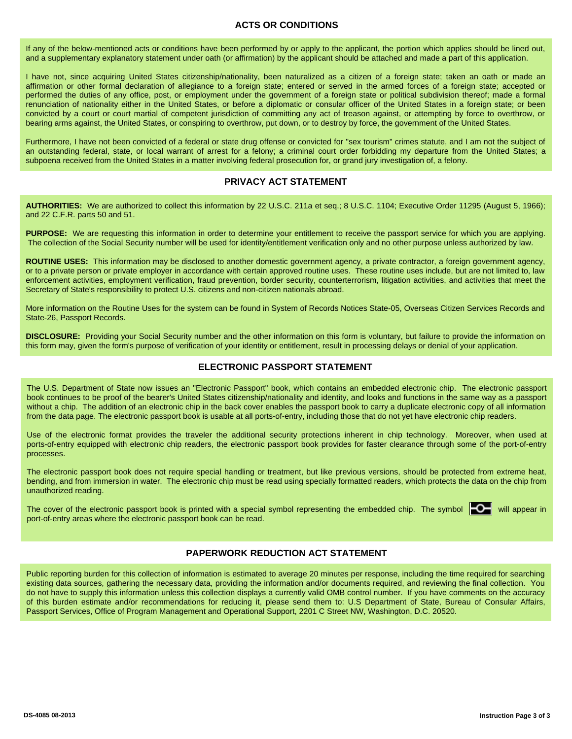#### **ACTS OR CONDITIONS**

If any of the below-mentioned acts or conditions have been performed by or apply to the applicant, the portion which applies should be lined out, and a supplementary explanatory statement under oath (or affirmation) by the applicant should be attached and made a part of this application.

I have not, since acquiring United States citizenship/nationality, been naturalized as a citizen of a foreign state; taken an oath or made an affirmation or other formal declaration of allegiance to a foreign state; entered or served in the armed forces of a foreign state; accepted or performed the duties of any office, post, or employment under the government of a foreign state or political subdivision thereof; made a formal renunciation of nationality either in the United States, or before a diplomatic or consular officer of the United States in a foreign state; or been convicted by a court or court martial of competent jurisdiction of committing any act of treason against, or attempting by force to overthrow, or bearing arms against, the United States, or conspiring to overthrow, put down, or to destroy by force, the government of the United States.

Furthermore, I have not been convicted of a federal or state drug offense or convicted for "sex tourism" crimes statute, and I am not the subject of an outstanding federal, state, or local warrant of arrest for a felony; a criminal court order forbidding my departure from the United States; a subpoena received from the United States in a matter involving federal prosecution for, or grand jury investigation of, a felony.

#### **PRIVACY ACT STATEMENT**

**AUTHORITIES:** We are authorized to collect this information by 22 U.S.C. 211a et seq.; 8 U.S.C. 1104; Executive Order 11295 (August 5, 1966); and 22 C.F.R. parts 50 and 51.

**PURPOSE:** We are requesting this information in order to determine your entitlement to receive the passport service for which you are applying. The collection of the Social Security number will be used for identity/entitlement verification only and no other purpose unless authorized by law.

**ROUTINE USES:** This information may be disclosed to another domestic government agency, a private contractor, a foreign government agency, or to a private person or private employer in accordance with certain approved routine uses. These routine uses include, but are not limited to, law enforcement activities, employment verification, fraud prevention, border security, counterterrorism, litigation activities, and activities that meet the Secretary of State's responsibility to protect U.S. citizens and non-citizen nationals abroad.

More information on the Routine Uses for the system can be found in System of Records Notices State-05, Overseas Citizen Services Records and State-26, Passport Records.

**DISCLOSURE:** Providing your Social Security number and the other information on this form is voluntary, but failure to provide the information on this form may, given the form's purpose of verification of your identity or entitlement, result in processing delays or denial of your application.

## **ELECTRONIC PASSPORT STATEMENT**

The U.S. Department of State now issues an "Electronic Passport" book, which contains an embedded electronic chip. The electronic passport book continues to be proof of the bearer's United States citizenship/nationality and identity, and looks and functions in the same way as a passport without a chip. The addition of an electronic chip in the back cover enables the passport book to carry a duplicate electronic copy of all information from the data page. The electronic passport book is usable at all ports-of-entry, including those that do not yet have electronic chip readers.

Use of the electronic format provides the traveler the additional security protections inherent in chip technology. Moreover, when used at ports-of-entry equipped with electronic chip readers, the electronic passport book provides for faster clearance through some of the port-of-entry processes.

The electronic passport book does not require special handling or treatment, but like previous versions, should be protected from extreme heat, bending, and from immersion in water. The electronic chip must be read using specially formatted readers, which protects the data on the chip from unauthorized reading.

The cover of the electronic passport book is printed with a special symbol representing the embedded chip. The symbol  $\overline{|\bullet|}$  will appear in port-of-entry areas where the electronic passport book can be read.



## **PAPERWORK REDUCTION ACT STATEMENT**

Public reporting burden for this collection of information is estimated to average 20 minutes per response, including the time required for searching existing data sources, gathering the necessary data, providing the information and/or documents required, and reviewing the final collection. You do not have to supply this information unless this collection displays a currently valid OMB control number. If you have comments on the accuracy of this burden estimate and/or recommendations for reducing it, please send them to: U.S Department of State, Bureau of Consular Affairs, Passport Services, Office of Program Management and Operational Support, 2201 C Street NW, Washington, D.C. 20520.